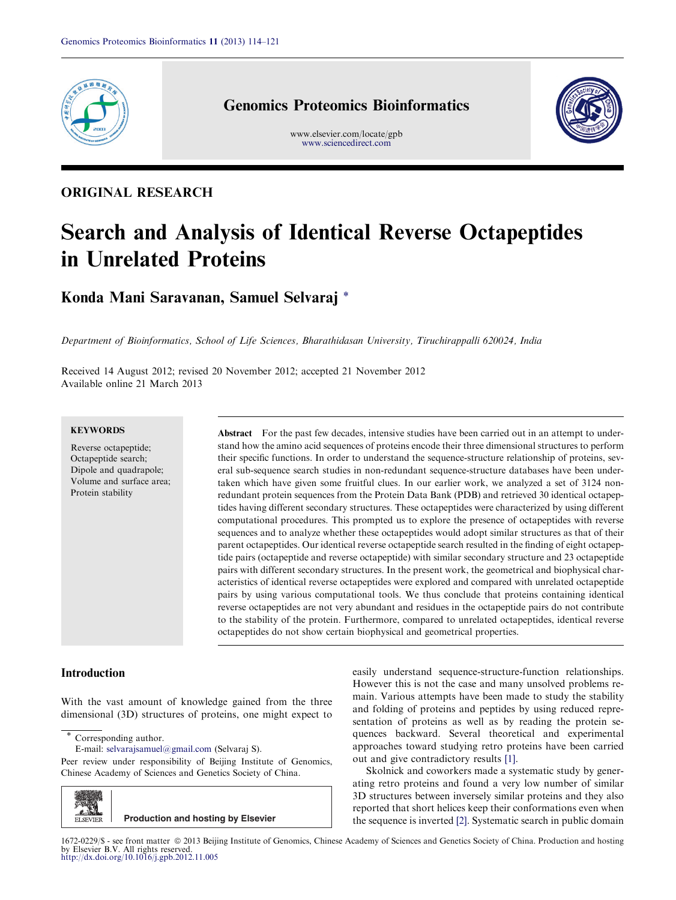

# Genomics Proteomics Bioinformatics

www.elsevier.com/locate/gpb [www.sciencedirect.com](http://www.sciencedirect.com)



# ORIGINAL RESEARCH

# Search and Analysis of Identical Reverse Octapeptides in Unrelated Proteins

Konda Mani Saravanan, Samuel Selvaraj \*

Department of Bioinformatics, School of Life Sciences, Bharathidasan University, Tiruchirappalli 620024, India

Received 14 August 2012; revised 20 November 2012; accepted 21 November 2012 Available online 21 March 2013

#### **KEYWORDS**

Reverse octapeptide; Octapeptide search; Dipole and quadrapole; Volume and surface area; Protein stability

Abstract For the past few decades, intensive studies have been carried out in an attempt to understand how the amino acid sequences of proteins encode their three dimensional structures to perform their specific functions. In order to understand the sequence-structure relationship of proteins, several sub-sequence search studies in non-redundant sequence-structure databases have been undertaken which have given some fruitful clues. In our earlier work, we analyzed a set of 3124 nonredundant protein sequences from the Protein Data Bank (PDB) and retrieved 30 identical octapeptides having different secondary structures. These octapeptides were characterized by using different computational procedures. This prompted us to explore the presence of octapeptides with reverse sequences and to analyze whether these octapeptides would adopt similar structures as that of their parent octapeptides. Our identical reverse octapeptide search resulted in the finding of eight octapeptide pairs (octapeptide and reverse octapeptide) with similar secondary structure and 23 octapeptide pairs with different secondary structures. In the present work, the geometrical and biophysical characteristics of identical reverse octapeptides were explored and compared with unrelated octapeptide pairs by using various computational tools. We thus conclude that proteins containing identical reverse octapeptides are not very abundant and residues in the octapeptide pairs do not contribute to the stability of the protein. Furthermore, compared to unrelated octapeptides, identical reverse octapeptides do not show certain biophysical and geometrical properties.

## Introduction

With the vast amount of knowledge gained from the three dimensional (3D) structures of proteins, one might expect to

Corresponding author.

```
E-mail: selvarajsamuel@gmail.com (Selvaraj S).
```
Peer review under responsibility of Beijing Institute of Genomics, Chinese Academy of Sciences and Genetics Society of China.

ELSEVIER **Production and hosting by Elsevier** easily understand sequence-structure-function relationships. However this is not the case and many unsolved problems remain. Various attempts have been made to study the stability and folding of proteins and peptides by using reduced representation of proteins as well as by reading the protein sequences backward. Several theoretical and experimental approaches toward studying retro proteins have been carried out and give contradictory results [\[1\]](#page-6-0).

Skolnick and coworkers made a systematic study by generating retro proteins and found a very low number of similar 3D structures between inversely similar proteins and they also reported that short helices keep their conformations even when the sequence is inverted [\[2\].](#page-6-0) Systematic search in public domain

1672-0229/\$ - see front matter ª 2013 Beijing Institute of Genomics, Chinese Academy of Sciences and Genetics Society of China. Production and hosting by Elsevier B.V. All rights reserved. <http://dx.doi.org/10.1016/j.gpb.2012.11.005>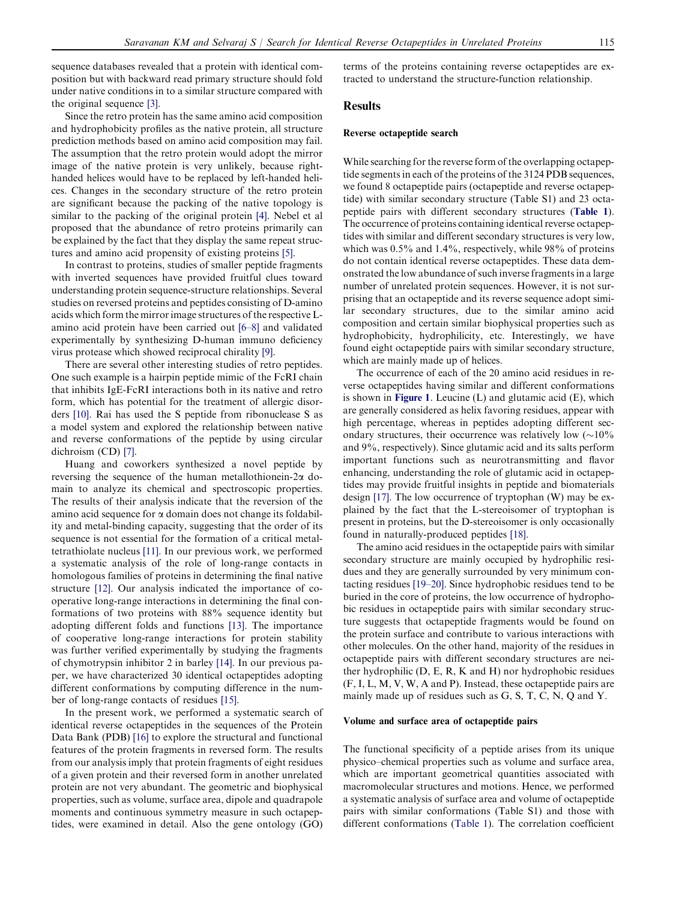sequence databases revealed that a protein with identical composition but with backward read primary structure should fold under native conditions in to a similar structure compared with the original sequence [\[3\]](#page-6-0).

Since the retro protein has the same amino acid composition and hydrophobicity profiles as the native protein, all structure prediction methods based on amino acid composition may fail. The assumption that the retro protein would adopt the mirror image of the native protein is very unlikely, because righthanded helices would have to be replaced by left-handed helices. Changes in the secondary structure of the retro protein are significant because the packing of the native topology is similar to the packing of the original protein [\[4\]](#page-6-0). Nebel et al proposed that the abundance of retro proteins primarily can be explained by the fact that they display the same repeat structures and amino acid propensity of existing proteins [\[5\]](#page-6-0).

In contrast to proteins, studies of smaller peptide fragments with inverted sequences have provided fruitful clues toward understanding protein sequence-structure relationships. Several studies on reversed proteins and peptides consisting of D-amino acids which form the mirror image structures of the respective Lamino acid protein have been carried out [\[6–8\]](#page-6-0) and validated experimentally by synthesizing D-human immuno deficiency virus protease which showed reciprocal chirality [\[9\]](#page-6-0).

There are several other interesting studies of retro peptides. One such example is a hairpin peptide mimic of the FcRI chain that inhibits IgE-FcRI interactions both in its native and retro form, which has potential for the treatment of allergic disorders [\[10\]](#page-6-0). Rai has used the S peptide from ribonuclease S as a model system and explored the relationship between native and reverse conformations of the peptide by using circular dichroism (CD) [\[7\]](#page-6-0).

Huang and coworkers synthesized a novel peptide by reversing the sequence of the human metallothionein- $2\alpha$  domain to analyze its chemical and spectroscopic properties. The results of their analysis indicate that the reversion of the amino acid sequence for  $\alpha$  domain does not change its foldability and metal-binding capacity, suggesting that the order of its sequence is not essential for the formation of a critical metaltetrathiolate nucleus [\[11\].](#page-6-0) In our previous work, we performed a systematic analysis of the role of long-range contacts in homologous families of proteins in determining the final native structure [\[12\]](#page-6-0). Our analysis indicated the importance of cooperative long-range interactions in determining the final conformations of two proteins with 88% sequence identity but adopting different folds and functions [\[13\]](#page-6-0). The importance of cooperative long-range interactions for protein stability was further verified experimentally by studying the fragments of chymotrypsin inhibitor 2 in barley [\[14\].](#page-6-0) In our previous paper, we have characterized 30 identical octapeptides adopting different conformations by computing difference in the number of long-range contacts of residues [\[15\].](#page-6-0)

In the present work, we performed a systematic search of identical reverse octapeptides in the sequences of the Protein Data Bank (PDB) [\[16\]](#page-6-0) to explore the structural and functional features of the protein fragments in reversed form. The results from our analysis imply that protein fragments of eight residues of a given protein and their reversed form in another unrelated protein are not very abundant. The geometric and biophysical properties, such as volume, surface area, dipole and quadrapole moments and continuous symmetry measure in such octapeptides, were examined in detail. Also the gene ontology (GO) terms of the proteins containing reverse octapeptides are extracted to understand the structure-function relationship.

## **Results**

#### Reverse octapeptide search

While searching for the reverse form of the overlapping octapeptide segments in each of the proteins of the 3124 PDB sequences, we found 8 octapeptide pairs (octapeptide and reverse octapeptide) with similar secondary structure (Table S1) and 23 octapeptide pairs with different secondary structures ([Table 1](#page-2-0)). The occurrence of proteins containing identical reverse octapeptides with similar and different secondary structures is very low, which was  $0.5\%$  and  $1.4\%$ , respectively, while 98% of proteins do not contain identical reverse octapeptides. These data demonstrated the low abundance of such inverse fragments in a large number of unrelated protein sequences. However, it is not surprising that an octapeptide and its reverse sequence adopt similar secondary structures, due to the similar amino acid composition and certain similar biophysical properties such as hydrophobicity, hydrophilicity, etc. Interestingly, we have found eight octapeptide pairs with similar secondary structure, which are mainly made up of helices.

The occurrence of each of the 20 amino acid residues in reverse octapeptides having similar and different conformations is shown in **[Figure 1](#page-3-0)**. Leucine  $(L)$  and glutamic acid  $(E)$ , which are generally considered as helix favoring residues, appear with high percentage, whereas in peptides adopting different secondary structures, their occurrence was relatively low  $(\sim 10\%$ and 9%, respectively). Since glutamic acid and its salts perform important functions such as neurotransmitting and flavor enhancing, understanding the role of glutamic acid in octapeptides may provide fruitful insights in peptide and biomaterials design [\[17\].](#page-6-0) The low occurrence of tryptophan (W) may be explained by the fact that the L-stereoisomer of tryptophan is present in proteins, but the D-stereoisomer is only occasionally found in naturally-produced peptides [\[18\].](#page-6-0)

The amino acid residues in the octapeptide pairs with similar secondary structure are mainly occupied by hydrophilic residues and they are generally surrounded by very minimum contacting residues [\[19–20\]](#page-6-0). Since hydrophobic residues tend to be buried in the core of proteins, the low occurrence of hydrophobic residues in octapeptide pairs with similar secondary structure suggests that octapeptide fragments would be found on the protein surface and contribute to various interactions with other molecules. On the other hand, majority of the residues in octapeptide pairs with different secondary structures are neither hydrophilic (D, E, R, K and H) nor hydrophobic residues (F, I, L, M, V, W, A and P). Instead, these octapeptide pairs are mainly made up of residues such as G, S, T, C, N, Q and Y.

#### Volume and surface area of octapeptide pairs

The functional specificity of a peptide arises from its unique physico–chemical properties such as volume and surface area, which are important geometrical quantities associated with macromolecular structures and motions. Hence, we performed a systematic analysis of surface area and volume of octapeptide pairs with similar conformations (Table S1) and those with different conformations ([Table 1](#page-2-0)). The correlation coefficient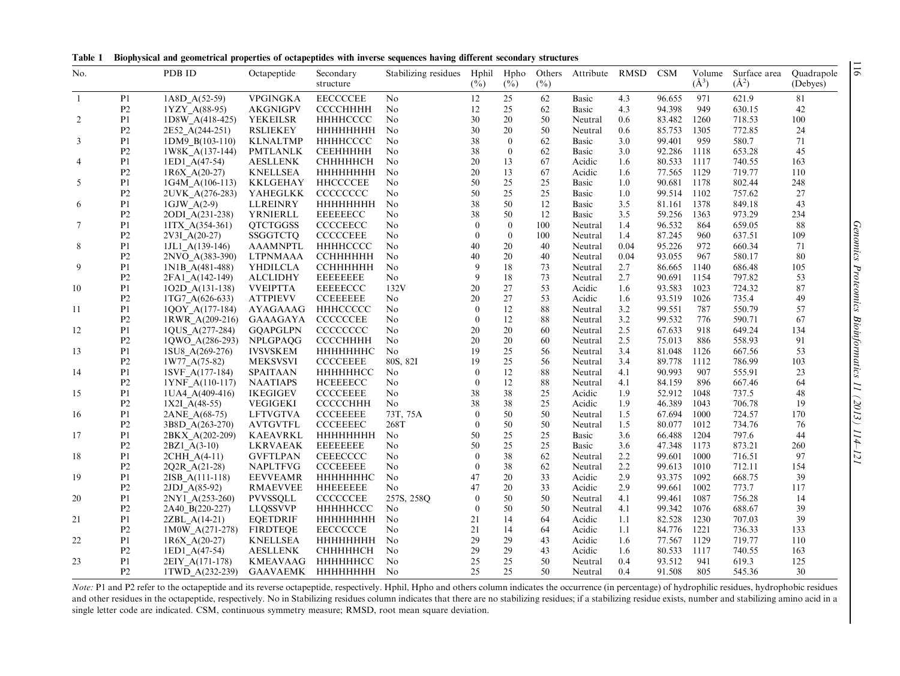<span id="page-2-0"></span>Table 1 Biophysical and geometrical properties of octapeptides with inverse sequences having different secondary structures

| No.      |                | PDB ID             | Octapeptide     | Secondary<br>structure | Stabilizing residues | Hphil<br>(%)   | Hpho<br>(%)  | Others<br>(%) | Attribute | RMSD | <b>CSM</b> | Volume<br>$(\AA^3)$ | Surface area<br>$(\mathbf{A}^2)$ | Quadrapole<br>(Debyes) |
|----------|----------------|--------------------|-----------------|------------------------|----------------------|----------------|--------------|---------------|-----------|------|------------|---------------------|----------------------------------|------------------------|
| -1       | P <sub>1</sub> | 1A8D A(52-59)      | <b>VPGINGKA</b> | <b>EECCCCEE</b>        | No                   | 12             | 25           | 62            | Basic     | 4.3  | 96.655     | 971                 | 621.9                            | 81                     |
|          | P <sub>2</sub> | 1YZY A(88-95)      | <b>AKGNIGPV</b> | ССССНННН               | No                   | 12             | 25           | 62            | Basic     | 4.3  | 94.398     | 949                 | 630.15                           | 42                     |
| 2        | P <sub>1</sub> | 1D8W A(418-425)    | <b>YEKEILSR</b> | ННННСССС               | No                   | 30             | 20           | 50            | Neutral   | 0.6  | 83.482     | 1260                | 718.53                           | 100                    |
|          | P <sub>2</sub> | 2E52 A(244-251)    | <b>RSLIEKEY</b> | НННННННН               | No                   | 30             | 20           | 50            | Neutral   | 0.6  | 85.753     | 1305                | 772.85                           | 24                     |
| 3        | P1             | $1DM9 B(103-110)$  | <b>KLNALTMP</b> | HHHHCCCC               | No                   | 38             | $\mathbf{0}$ | 62            | Basic     | 3.0  | 99.401     | 959                 | 580.7                            | 71                     |
|          | P <sub>2</sub> | 1W8K A(137-144)    | <b>PMTLANLK</b> | СЕЕННННН               | N <sub>0</sub>       | 38             | $\mathbf{0}$ | 62            | Basic     | 3.0  | 92.286     | 1118                | 653.28                           | 45                     |
|          | P1             | 1ED1 A(47-54)      | <b>AESLLENK</b> | СНННННСН               | No                   | 20             | 13           | 67            | Acidic    | 1.6  | 80.533     | 1117                | 740.55                           | 163                    |
|          | P <sub>2</sub> | 1R6X A(20-27)      | <b>KNELLSEA</b> | <b>HHHHHHHH</b>        | No                   | 20             | 13           | 67            | Acidic    | 1.6  | 77.565     | 1129                | 719.77                           | 110                    |
| 5        | P <sub>1</sub> | $1G4M A(106-113)$  | <b>KKLGEHAY</b> | <b>HHCCCCEE</b>        | No                   | 50             | 25           | 25            | Basic     | 1.0  | 90.681     | 1178                | 802.44                           | 248                    |
|          | P <sub>2</sub> | 2UVK A(276-283)    | YAHEGLKK        | CCCCCCCC               | No                   | 50             | 25           | 25            | Basic     | 1.0  | 99.514     | 1102                | 757.62                           | 27                     |
| 6        | P <sub>1</sub> | $1$ GJW_A $(2-9)$  | <b>LLREINRY</b> | НННННННН               | No                   | 38             | 50           | 12            | Basic     | 3.5  | 81.161     | 1378                | 849.18                           | 43                     |
|          | P <sub>2</sub> | 20DI_A(231-238)    | YRNIERLL        | <b>EEEEEECC</b>        | No                   | 38             | 50           | 12            | Basic     | 3.5  | 59.256     | 1363                | 973.29                           | 234                    |
| 7        | P <sub>1</sub> | $1ITX A(354-361)$  | <b>QTCTGGSS</b> | <b>CCCCEECC</b>        | No                   | $\overline{0}$ | $\mathbf{0}$ | 100           | Neutral   | 1.4  | 96.532     | 864                 | 659.05                           | 88                     |
|          | P <sub>2</sub> | 2V3I_A(20-27)      | <b>SSGGTCTQ</b> | <b>CCCCCEEE</b>        | No                   | $\overline{0}$ | $\mathbf{0}$ | 100           | Neutral   | 1.4  | 87.245     | 960                 | 637.51                           | 109                    |
| 8        | P <sub>1</sub> | 1JL1 A $(139-146)$ | <b>AAAMNPTL</b> | ННННСССС               | No                   | 40             | 20           | 40            | Neutral   | 0.04 | 95.226     | 972                 | 660.34                           | 71                     |
|          | P <sub>2</sub> | 2NVO A(383-390)    | <b>LTPNMAAA</b> | ССНННННН               | No                   | 40             | 20           | 40            | Neutral   | 0.04 | 93.055     | 967                 | 580.17                           | 80                     |
| 9        | P <sub>1</sub> | $1N1B$ A(481-488)  | YHDILCLA        | ССНННННН               | No                   | 9              | 18           | 73            | Neutral   | 2.7  | 86.665     | 1140                | 686.48                           | 105                    |
|          | P <sub>2</sub> | 2FA1 A(142-149)    | <b>ALCLIDHY</b> | <b>EEEEEEEE</b>        | No                   | 9              | 18           | 73            | Neutral   | 2.7  | 90.691     | 1154                | 797.82                           | 53                     |
| 10       | P <sub>1</sub> | $102D$ A(131-138)  | <b>VVEIPTTA</b> | <b>EEEEECCC</b>        | 132V                 | 20             | 27           | 53            | Acidic    | 1.6  | 93.583     | 1023                | 724.32                           | 87                     |
|          | P <sub>2</sub> | 1TG7 A(626-633)    | <b>ATTPIEVV</b> | <b>CCEEEEEE</b>        | No                   | 20             | 27           | 53            | Acidic    | 1.6  | 93.519     | 1026                | 735.4                            | 49                     |
| 11       | P1             | 1QOY A(177-184)    | AYAGAAAG        | <b>HHHCCCCCC</b>       | No                   | $\overline{0}$ | 12           | 88            | Neutral   | 3.2  | 99.551     | 787                 | 550.79                           | 57                     |
|          | P <sub>2</sub> | 1RWR_A(209-216)    | GAAAGAYA        | <b>CCCCCCEE</b>        | No                   | $\mathbf{0}$   | 12           | 88            | Neutral   | 3.2  | 99.532     | 776                 | 590.71                           | 67                     |
| 12       | P1             | 1QUS A(277-284)    | <b>GOAPGLPN</b> | CCCCCCCC               | No                   | 20             | 20           | 60            | Neutral   | 2.5  | 67.633     | 918                 | 649.24                           | 134                    |
|          | P <sub>2</sub> | 1QWO_A(286-293)    | <b>NPLGPAQG</b> | ССССНННН               | No                   | 20             | 20           | 60            | Neutral   | 2.5  | 75.013     | 886                 | 558.93                           | 91                     |
| 13       | P1             | 1SU8 A(269-276)    | <b>IVSVSKEM</b> | НННННННС               | No                   | 19             | 25           | 56            | Neutral   | 3.4  | 81.048     | 1126                | 667.56                           | 53                     |
|          | P <sub>2</sub> | $1W77 A(75-82)$    | <b>MEKSVSVI</b> | <b>CCCCEEEE</b>        | 80S, 82I             | 19             | 25           | 56            | Neutral   | 3.4  | 89.778     | 1112                | 786.99                           | 103                    |
| 14       | P1             | 1SVF A(177-184)    | <b>SPAITAAN</b> | ННННННСС               | No                   | $\overline{0}$ | 12           | 88            | Neutral   | 4.1  | 90.993     | 907                 | 555.91                           | 23                     |
|          | P <sub>2</sub> | 1YNF_A(110-117)    | <b>NAATIAPS</b> | <b>HCEEEECC</b>        | No                   | $\overline{0}$ | 12           | 88            | Neutral   | 4.1  | 84.159     | 896                 | 667.46                           | 64                     |
| 15<br>16 | P <sub>1</sub> |                    | <b>IKEGIGEV</b> | <b>CCCCEEEE</b>        | No                   | 38             | 38           | 25            | Acidic    | 1.9  | 52.912     | 1048                | 737.5                            | 48                     |
|          |                | 1UA4 A(409-416)    |                 |                        |                      |                | 38           |               |           | 1.9  |            | 1043                |                                  | 19                     |
|          | P <sub>2</sub> | $1X2I A(48-55)$    | <b>VEGIGEKI</b> | СССССННН               | No                   | 38             | 50           | 25<br>50      | Acidic    |      | 46.389     |                     | 706.78<br>724.57                 | 170                    |
|          | P1             | 2ANE A(68-75)      | <b>LFTVGTVA</b> | <b>CCCEEEEE</b>        | 73T, 75A<br>268T     | $\overline{0}$ |              |               | Neutral   | 1.5  | 67.694     | 1000                |                                  |                        |
| 17<br>18 | P <sub>2</sub> | 3B8D A(263-270)    | <b>AVTGVTFL</b> | <b>CCCEEEEC</b>        |                      | $\overline{0}$ | 50           | 50            | Neutral   | 1.5  | 80.077     | 1012                | 734.76                           | 76                     |
|          | P1             | 2BKX_A(202-209)    | <b>KAEAVRKL</b> | <b>ННННННННН</b>       | No                   | 50             | 25           | 25            | Basic     | 3.6  | 66.488     | 1204                | 797.6                            | 44                     |
|          | P <sub>2</sub> | $2BZ1_A(3-10)$     | LKRVAEAK        | <b>EEEEEEEE</b>        | N <sub>0</sub>       | 50             | 25           | 25            | Basic     | 3.6  | 47.348     | 1173                | 873.21                           | 260                    |
|          | P1             | $2CHH A(4-11)$     | <b>GVFTLPAN</b> | <b>CEEECCCC</b>        | No                   | $\overline{0}$ | 38           | 62            | Neutral   | 2.2  | 99.601     | 1000                | 716.51                           | 97                     |
|          | P <sub>2</sub> | 2Q2R A(21-28)      | <b>NAPLTFVG</b> | <b>CCCEEEEE</b>        | N <sub>0</sub>       | $\mathbf{0}$   | 38           | 62            | Neutral   | 2.2  | 99.613     | 1010                | 712.11                           | 154                    |
| 19       | P1             | 2ISB A(111-118)    | <b>EEVVEAMR</b> | НННННННС               | No                   | 47             | 20           | 33            | Acidic    | 2.9  | 93.375     | 1092                | 668.75                           | 39                     |
|          | P <sub>2</sub> | $2JDJ A(85-92)$    | <b>RMAEVVEE</b> | <b>HHEEEEEE</b>        | No                   | 47             | 20           | 33            | Acidic    | 2.9  | 99.661     | 1002                | 773.7                            | 117                    |
| 20       | P <sub>1</sub> | 2NY1 A(253-260)    | <b>PVVSSQLL</b> | <b>CCCCCCEE</b>        | 257S, 258Q           | $\overline{0}$ | 50           | 50            | Neutral   | 4.1  | 99.461     | 1087                | 756.28                           | 14                     |
|          | P <sub>2</sub> | 2A40 B(220-227)    | <b>LLOSSVVP</b> | НННННССС               | No                   | $\mathbf{0}$   | 50           | 50            | Neutral   | 4.1  | 99.342     | 1076                | 688.67                           | 39                     |
| 21       | P1             | 2ZBL A(14-21)      | <b>EQETDRIF</b> | НННННННН               | No                   | 21             | 14           | 64            | Acidic    | 1.1  | 82.528     | 1230                | 707.03                           | 39                     |
|          | P <sub>2</sub> | $1M0W A(271-278)$  | <b>FIRDTEQE</b> | <b>EECCCCCE</b>        | No                   | 21             | 14           | 64            | Acidic    | 1.1  | 84.776     | 1221                | 736.33                           | 133                    |
| 22       | P1             | $1R6X A(20-27)$    | <b>KNELLSEA</b> | НННННННН               | No                   | 29             | 29           | 43            | Acidic    | 1.6  | 77.567     | 1129                | 719.77                           | 110                    |
|          | P <sub>2</sub> | $1ED1 A(47-54)$    | <b>AESLLENK</b> | СНННННСН               | No                   | 29             | 29           | 43            | Acidic    | 1.6  | 80.533     | 1117                | 740.55                           | 163                    |
| 23       | P <sub>1</sub> | 2EIY A(171-178)    | KMEAVAAG        | ННННННСС               | No                   | 25             | 25           | 50            | Neutral   | 0.4  | 93.512     | 941                 | 619.3                            | 125                    |
|          | P <sub>2</sub> | 1TWD A(232-239)    | GAAVAEMK        | HHHHHHHH               | No                   | 25             | 25           | 50            | Neutral   | 0.4  | 91.508     | 805                 | 545.36                           | 30                     |

Note: P1 and P2 refer to the octapeptide and its reverse octapeptide, respectively. Hphil, Hpho and others column indicates the occurrence (in percentage) of hydrophilic residues, hydrophobic residues and other residues in the octapeptide, respectively. No in Stabilizing residues column indicates that there are no stabilizing residues; if <sup>a</sup> stabilizing residue exists, number and stabilizing amino acid in <sup>a</sup> single letter code are indicated. CSM, continuous symmetry measure; RMSD, root mean square deviation.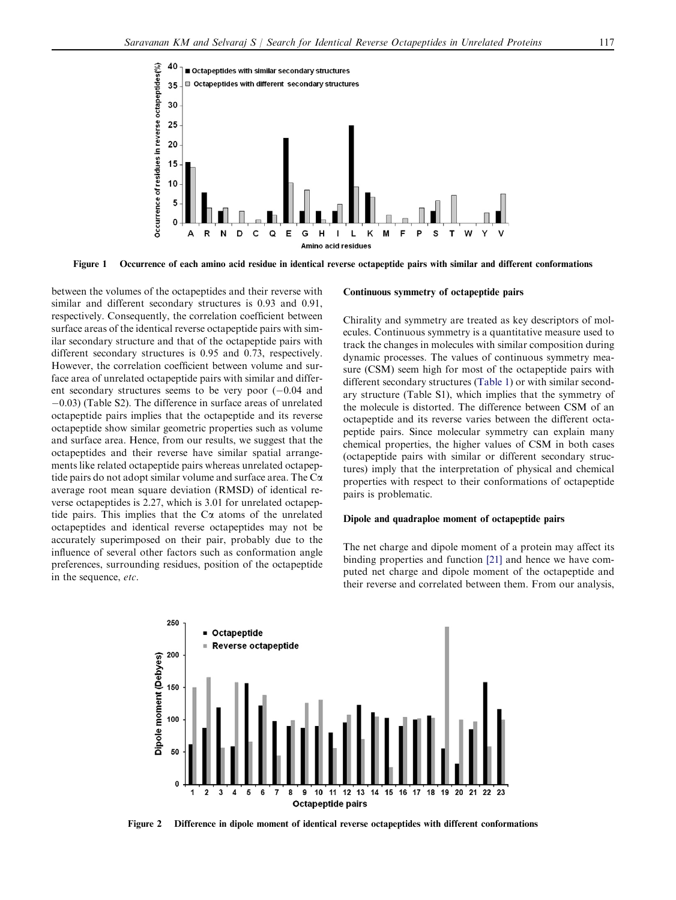<span id="page-3-0"></span>

Figure 1 Occurrence of each amino acid residue in identical reverse octapeptide pairs with similar and different conformations

between the volumes of the octapeptides and their reverse with similar and different secondary structures is 0.93 and 0.91, respectively. Consequently, the correlation coefficient between surface areas of the identical reverse octapeptide pairs with similar secondary structure and that of the octapeptide pairs with different secondary structures is 0.95 and 0.73, respectively. However, the correlation coefficient between volume and surface area of unrelated octapeptide pairs with similar and different secondary structures seems to be very poor  $(-0.04$  and  $-0.03$ ) (Table S2). The difference in surface areas of unrelated octapeptide pairs implies that the octapeptide and its reverse octapeptide show similar geometric properties such as volume and surface area. Hence, from our results, we suggest that the octapeptides and their reverse have similar spatial arrangements like related octapeptide pairs whereas unrelated octapeptide pairs do not adopt similar volume and surface area. The  $C\alpha$ average root mean square deviation (RMSD) of identical reverse octapeptides is 2.27, which is 3.01 for unrelated octapeptide pairs. This implies that the  $C\alpha$  atoms of the unrelated octapeptides and identical reverse octapeptides may not be accurately superimposed on their pair, probably due to the influence of several other factors such as conformation angle preferences, surrounding residues, position of the octapeptide in the sequence, etc.

#### Continuous symmetry of octapeptide pairs

Chirality and symmetry are treated as key descriptors of molecules. Continuous symmetry is a quantitative measure used to track the changes in molecules with similar composition during dynamic processes. The values of continuous symmetry measure (CSM) seem high for most of the octapeptide pairs with different secondary structures ([Table 1](#page-2-0)) or with similar secondary structure (Table S1), which implies that the symmetry of the molecule is distorted. The difference between CSM of an octapeptide and its reverse varies between the different octapeptide pairs. Since molecular symmetry can explain many chemical properties, the higher values of CSM in both cases (octapeptide pairs with similar or different secondary structures) imply that the interpretation of physical and chemical properties with respect to their conformations of octapeptide pairs is problematic.

#### Dipole and quadraploe moment of octapeptide pairs

The net charge and dipole moment of a protein may affect its binding properties and function [\[21\]](#page-6-0) and hence we have computed net charge and dipole moment of the octapeptide and their reverse and correlated between them. From our analysis,



Figure 2 Difference in dipole moment of identical reverse octapeptides with different conformations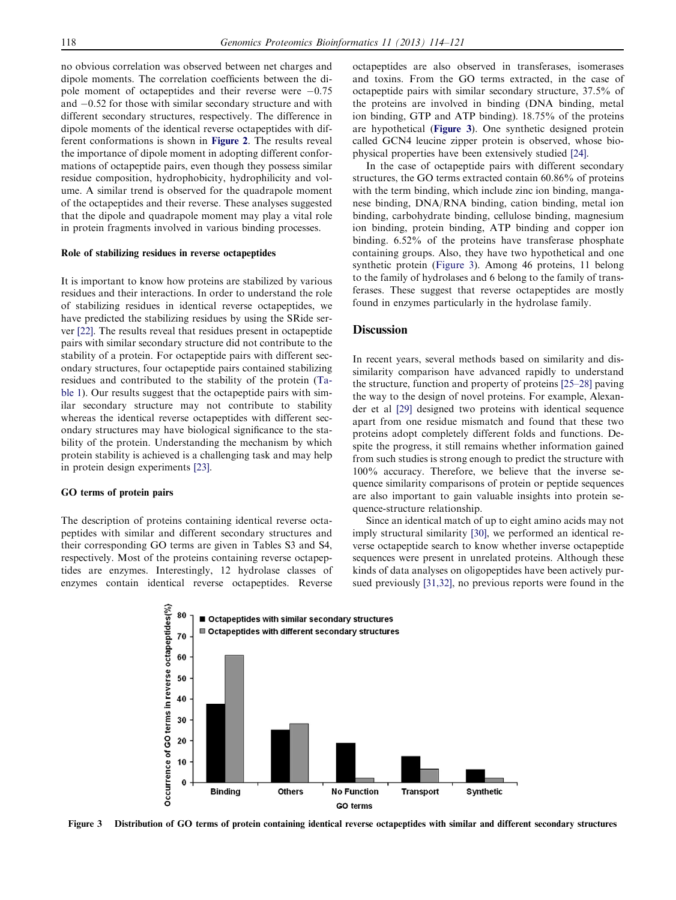no obvious correlation was observed between net charges and dipole moments. The correlation coefficients between the dipole moment of octapeptides and their reverse were  $-0.75$ and  $-0.52$  for those with similar secondary structure and with different secondary structures, respectively. The difference in dipole moments of the identical reverse octapeptides with different conformations is shown in [Figure 2](#page-3-0). The results reveal the importance of dipole moment in adopting different conformations of octapeptide pairs, even though they possess similar residue composition, hydrophobicity, hydrophilicity and volume. A similar trend is observed for the quadrapole moment of the octapeptides and their reverse. These analyses suggested that the dipole and quadrapole moment may play a vital role in protein fragments involved in various binding processes.

#### Role of stabilizing residues in reverse octapeptides

It is important to know how proteins are stabilized by various residues and their interactions. In order to understand the role of stabilizing residues in identical reverse octapeptides, we have predicted the stabilizing residues by using the SRide server [\[22\]](#page-6-0). The results reveal that residues present in octapeptide pairs with similar secondary structure did not contribute to the stability of a protein. For octapeptide pairs with different secondary structures, four octapeptide pairs contained stabilizing residues and contributed to the stability of the protein [\(Ta](#page-2-0)[ble 1](#page-2-0)). Our results suggest that the octapeptide pairs with similar secondary structure may not contribute to stability whereas the identical reverse octapeptides with different secondary structures may have biological significance to the stability of the protein. Understanding the mechanism by which protein stability is achieved is a challenging task and may help in protein design experiments [\[23\].](#page-6-0)

## GO terms of protein pairs

The description of proteins containing identical reverse octapeptides with similar and different secondary structures and their corresponding GO terms are given in Tables S3 and S4, respectively. Most of the proteins containing reverse octapeptides are enzymes. Interestingly, 12 hydrolase classes of enzymes contain identical reverse octapeptides. Reverse octapeptides are also observed in transferases, isomerases and toxins. From the GO terms extracted, in the case of octapeptide pairs with similar secondary structure, 37.5% of the proteins are involved in binding (DNA binding, metal ion binding, GTP and ATP binding). 18.75% of the proteins are hypothetical (Figure 3). One synthetic designed protein called GCN4 leucine zipper protein is observed, whose biophysical properties have been extensively studied [\[24\].](#page-6-0)

In the case of octapeptide pairs with different secondary structures, the GO terms extracted contain 60.86% of proteins with the term binding, which include zinc ion binding, manganese binding, DNA/RNA binding, cation binding, metal ion binding, carbohydrate binding, cellulose binding, magnesium ion binding, protein binding, ATP binding and copper ion binding. 6.52% of the proteins have transferase phosphate containing groups. Also, they have two hypothetical and one synthetic protein (Figure 3). Among 46 proteins, 11 belong to the family of hydrolases and 6 belong to the family of transferases. These suggest that reverse octapeptides are mostly found in enzymes particularly in the hydrolase family.

#### **Discussion**

In recent years, several methods based on similarity and dissimilarity comparison have advanced rapidly to understand the structure, function and property of proteins [\[25–28\]](#page-6-0) paving the way to the design of novel proteins. For example, Alexander et al [\[29\]](#page-6-0) designed two proteins with identical sequence apart from one residue mismatch and found that these two proteins adopt completely different folds and functions. Despite the progress, it still remains whether information gained from such studies is strong enough to predict the structure with 100% accuracy. Therefore, we believe that the inverse sequence similarity comparisons of protein or peptide sequences are also important to gain valuable insights into protein sequence-structure relationship.

Since an identical match of up to eight amino acids may not imply structural similarity [\[30\],](#page-7-0) we performed an identical reverse octapeptide search to know whether inverse octapeptide sequences were present in unrelated proteins. Although these kinds of data analyses on oligopeptides have been actively pursued previously [\[31,32\]](#page-7-0), no previous reports were found in the



Figure 3 Distribution of GO terms of protein containing identical reverse octapeptides with similar and different secondary structures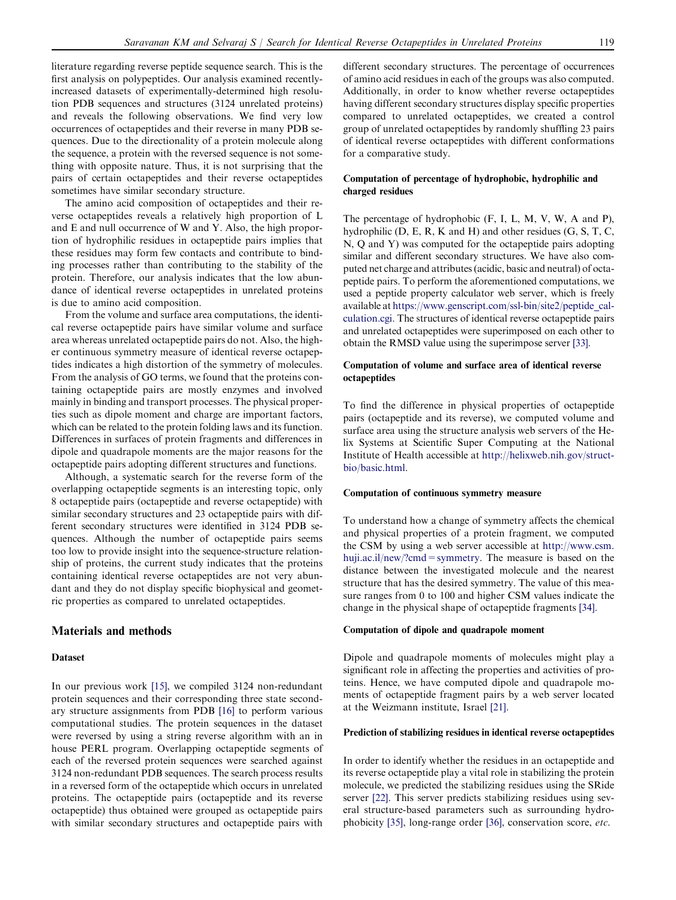literature regarding reverse peptide sequence search. This is the first analysis on polypeptides. Our analysis examined recentlyincreased datasets of experimentally-determined high resolution PDB sequences and structures (3124 unrelated proteins) and reveals the following observations. We find very low occurrences of octapeptides and their reverse in many PDB sequences. Due to the directionality of a protein molecule along the sequence, a protein with the reversed sequence is not something with opposite nature. Thus, it is not surprising that the pairs of certain octapeptides and their reverse octapeptides sometimes have similar secondary structure.

The amino acid composition of octapeptides and their reverse octapeptides reveals a relatively high proportion of L and E and null occurrence of W and Y. Also, the high proportion of hydrophilic residues in octapeptide pairs implies that these residues may form few contacts and contribute to binding processes rather than contributing to the stability of the protein. Therefore, our analysis indicates that the low abundance of identical reverse octapeptides in unrelated proteins is due to amino acid composition.

From the volume and surface area computations, the identical reverse octapeptide pairs have similar volume and surface area whereas unrelated octapeptide pairs do not. Also, the higher continuous symmetry measure of identical reverse octapeptides indicates a high distortion of the symmetry of molecules. From the analysis of GO terms, we found that the proteins containing octapeptide pairs are mostly enzymes and involved mainly in binding and transport processes. The physical properties such as dipole moment and charge are important factors, which can be related to the protein folding laws and its function. Differences in surfaces of protein fragments and differences in dipole and quadrapole moments are the major reasons for the octapeptide pairs adopting different structures and functions.

Although, a systematic search for the reverse form of the overlapping octapeptide segments is an interesting topic, only 8 octapeptide pairs (octapeptide and reverse octapeptide) with similar secondary structures and 23 octapeptide pairs with different secondary structures were identified in 3124 PDB sequences. Although the number of octapeptide pairs seems too low to provide insight into the sequence-structure relationship of proteins, the current study indicates that the proteins containing identical reverse octapeptides are not very abundant and they do not display specific biophysical and geometric properties as compared to unrelated octapeptides.

# Materials and methods

# Dataset

In our previous work [\[15\]](#page-6-0), we compiled 3124 non-redundant protein sequences and their corresponding three state secondary structure assignments from PDB [\[16\]](#page-6-0) to perform various computational studies. The protein sequences in the dataset were reversed by using a string reverse algorithm with an in house PERL program. Overlapping octapeptide segments of each of the reversed protein sequences were searched against 3124 non-redundant PDB sequences. The search process results in a reversed form of the octapeptide which occurs in unrelated proteins. The octapeptide pairs (octapeptide and its reverse octapeptide) thus obtained were grouped as octapeptide pairs with similar secondary structures and octapeptide pairs with different secondary structures. The percentage of occurrences of amino acid residues in each of the groups was also computed. Additionally, in order to know whether reverse octapeptides having different secondary structures display specific properties compared to unrelated octapeptides, we created a control group of unrelated octapeptides by randomly shuffling 23 pairs of identical reverse octapeptides with different conformations for a comparative study.

#### Computation of percentage of hydrophobic, hydrophilic and charged residues

The percentage of hydrophobic (F, I, L, M, V, W, A and P), hydrophilic (D, E, R, K and H) and other residues (G, S, T, C, N, Q and Y) was computed for the octapeptide pairs adopting similar and different secondary structures. We have also computed net charge and attributes (acidic, basic and neutral) of octapeptide pairs. To perform the aforementioned computations, we used a peptide property calculator web server, which is freely available at [https://www.genscript.com/ssl-bin/site2/peptide\\_cal](https://www.genscript.com/ssl-bin/site2/peptide_calculation.cgi)[culation.cgi.](https://www.genscript.com/ssl-bin/site2/peptide_calculation.cgi) The structures of identical reverse octapeptide pairs and unrelated octapeptides were superimposed on each other to obtain the RMSD value using the superimpose server [\[33\]](#page-7-0).

#### Computation of volume and surface area of identical reverse octapeptides

To find the difference in physical properties of octapeptide pairs (octapeptide and its reverse), we computed volume and surface area using the structure analysis web servers of the Helix Systems at Scientific Super Computing at the National Institute of Health accessible at [http://helixweb.nih.gov/struct](http://helixweb.nih.gov/structbio/basic.html)[bio/basic.html](http://helixweb.nih.gov/structbio/basic.html).

## Computation of continuous symmetry measure

To understand how a change of symmetry affects the chemical and physical properties of a protein fragment, we computed the CSM by using a web server accessible at [http://www.csm.](http://www.csm.huji.ac.il/new/?cmd=symmetry) [huji.ac.il/new/?cmd=symmetry.](http://www.csm.huji.ac.il/new/?cmd=symmetry) The measure is based on the distance between the investigated molecule and the nearest structure that has the desired symmetry. The value of this measure ranges from 0 to 100 and higher CSM values indicate the change in the physical shape of octapeptide fragments [\[34\]](#page-7-0).

#### Computation of dipole and quadrapole moment

Dipole and quadrapole moments of molecules might play a significant role in affecting the properties and activities of proteins. Hence, we have computed dipole and quadrapole moments of octapeptide fragment pairs by a web server located at the Weizmann institute, Israel [\[21\]](#page-6-0).

#### Prediction of stabilizing residues in identical reverse octapeptides

In order to identify whether the residues in an octapeptide and its reverse octapeptide play a vital role in stabilizing the protein molecule, we predicted the stabilizing residues using the SRide server [\[22\]](#page-6-0). This server predicts stabilizing residues using several structure-based parameters such as surrounding hydrophobicity [\[35\]](#page-7-0), long-range order [\[36\]](#page-7-0), conservation score, etc.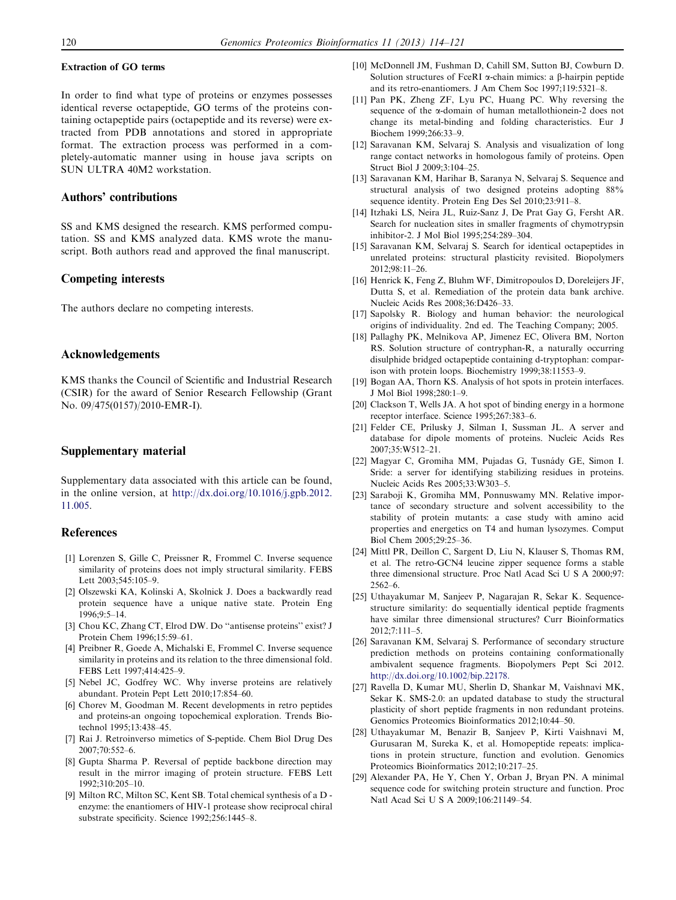## <span id="page-6-0"></span>Extraction of GO terms

In order to find what type of proteins or enzymes possesses identical reverse octapeptide, GO terms of the proteins containing octapeptide pairs (octapeptide and its reverse) were extracted from PDB annotations and stored in appropriate format. The extraction process was performed in a completely-automatic manner using in house java scripts on SUN ULTRA 40M2 workstation.

# Authors' contributions

SS and KMS designed the research. KMS performed computation. SS and KMS analyzed data. KMS wrote the manuscript. Both authors read and approved the final manuscript.

# Competing interests

The authors declare no competing interests.

#### Acknowledgements

KMS thanks the Council of Scientific and Industrial Research (CSIR) for the award of Senior Research Fellowship (Grant No. 09/475(0157)/2010-EMR-I).

## Supplementary material

Supplementary data associated with this article can be found, in the online version, at [http://dx.doi.org/10.1016/j.gpb.2012.](http://dx.doi.org/10.1016/j.gpb.2012.11.005) [11.005.](http://dx.doi.org/10.1016/j.gpb.2012.11.005)

#### References

- [1] Lorenzen S, Gille C, Preissner R, Frommel C. Inverse sequence similarity of proteins does not imply structural similarity. FEBS Lett 2003;545:105–9.
- [2] Olszewski KA, Kolinski A, Skolnick J. Does a backwardly read protein sequence have a unique native state. Protein Eng 1996;9:5–14.
- [3] Chou KC, Zhang CT, Elrod DW. Do ''antisense proteins'' exist? J Protein Chem 1996;15:59–61.
- [4] Preibner R, Goede A, Michalski E, Frommel C. Inverse sequence similarity in proteins and its relation to the three dimensional fold. FEBS Lett 1997;414:425–9.
- [5] Nebel JC, Godfrey WC. Why inverse proteins are relatively abundant. Protein Pept Lett 2010;17:854–60.
- [6] Chorev M, Goodman M. Recent developments in retro peptides and proteins-an ongoing topochemical exploration. Trends Biotechnol 1995;13:438–45.
- [7] Rai J. Retroinverso mimetics of S-peptide. Chem Biol Drug Des 2007;70:552–6.
- [8] Gupta Sharma P. Reversal of peptide backbone direction may result in the mirror imaging of protein structure. FEBS Lett 1992;310:205–10.
- [9] Milton RC, Milton SC, Kent SB. Total chemical synthesis of a D enzyme: the enantiomers of HIV-1 protease show reciprocal chiral substrate specificity. Science 1992;256:1445–8.
- [10] McDonnell JM, Fushman D, Cahill SM, Sutton BJ, Cowburn D. Solution structures of FceRI  $\alpha$ -chain mimics: a  $\beta$ -hairpin peptide and its retro-enantiomers. J Am Chem Soc 1997;119:5321–8.
- [11] Pan PK, Zheng ZF, Lyu PC, Huang PC. Why reversing the sequence of the a-domain of human metallothionein-2 does not change its metal-binding and folding characteristics. Eur J Biochem 1999;266:33–9.
- [12] Saravanan KM, Selvaraj S. Analysis and visualization of long range contact networks in homologous family of proteins. Open Struct Biol J 2009;3:104–25.
- [13] Saravanan KM, Harihar B, Saranya N, Selvaraj S. Sequence and structural analysis of two designed proteins adopting 88% sequence identity. Protein Eng Des Sel 2010;23:911–8.
- [14] Itzhaki LS, Neira JL, Ruiz-Sanz J, De Prat Gay G, Fersht AR. Search for nucleation sites in smaller fragments of chymotrypsin inhibitor-2. J Mol Biol 1995;254:289–304.
- [15] Saravanan KM, Selvaraj S. Search for identical octapeptides in unrelated proteins: structural plasticity revisited. Biopolymers 2012;98:11–26.
- [16] Henrick K, Feng Z, Bluhm WF, Dimitropoulos D, Doreleijers JF, Dutta S, et al. Remediation of the protein data bank archive. Nucleic Acids Res 2008;36:D426–33.
- [17] Sapolsky R. Biology and human behavior: the neurological origins of individuality. 2nd ed. The Teaching Company; 2005.
- [18] Pallaghy PK, Melnikova AP, Jimenez EC, Olivera BM, Norton RS. Solution structure of contryphan-R, a naturally occurring disulphide bridged octapeptide containing d-tryptophan: comparison with protein loops. Biochemistry 1999;38:11553–9.
- [19] Bogan AA, Thorn KS. Analysis of hot spots in protein interfaces. J Mol Biol 1998;280:1–9.
- [20] Clackson T, Wells JA. A hot spot of binding energy in a hormone receptor interface. Science 1995;267:383–6.
- [21] Felder CE, Prilusky J, Silman I, Sussman JL. A server and database for dipole moments of proteins. Nucleic Acids Res 2007;35:W512–21.
- [22] Magyar C, Gromiha MM, Pujadas G, Tusnády GE, Simon I. Sride: a server for identifying stabilizing residues in proteins. Nucleic Acids Res 2005;33:W303–5.
- [23] Saraboji K, Gromiha MM, Ponnuswamy MN. Relative importance of secondary structure and solvent accessibility to the stability of protein mutants: a case study with amino acid properties and energetics on T4 and human lysozymes. Comput Biol Chem 2005;29:25–36.
- [24] Mittl PR, Deillon C, Sargent D, Liu N, Klauser S, Thomas RM, et al. The retro-GCN4 leucine zipper sequence forms a stable three dimensional structure. Proc Natl Acad Sci U S A 2000;97: 2562–6.
- [25] Uthayakumar M, Sanjeev P, Nagarajan R, Sekar K. Sequencestructure similarity: do sequentially identical peptide fragments have similar three dimensional structures? Curr Bioinformatics 2012;7:111–5.
- [26] Saravanan KM, Selvaraj S. Performance of secondary structure prediction methods on proteins containing conformationally ambivalent sequence fragments. Biopolymers Pept Sci 2012. http://dx.doi.org/[10.1002/bip.22178.](http://dx.doi.org/10.1002/bip.22178)
- [27] Ravella D, Kumar MU, Sherlin D, Shankar M, Vaishnavi MK, Sekar K. SMS-2.0: an updated database to study the structural plasticity of short peptide fragments in non redundant proteins. Genomics Proteomics Bioinformatics 2012;10:44–50.
- [28] Uthayakumar M, Benazir B, Sanjeev P, Kirti Vaishnavi M, Gurusaran M, Sureka K, et al. Homopeptide repeats: implications in protein structure, function and evolution. Genomics Proteomics Bioinformatics 2012;10:217–25.
- [29] Alexander PA, He Y, Chen Y, Orban J, Bryan PN. A minimal sequence code for switching protein structure and function. Proc Natl Acad Sci U S A 2009;106:21149–54.